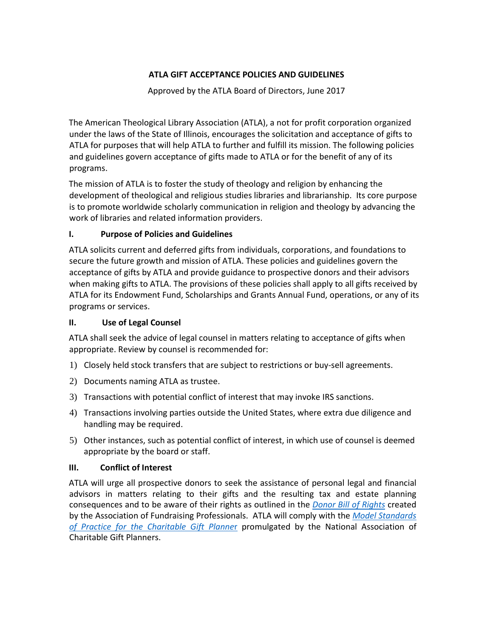## **ATLA GIFT ACCEPTANCE POLICIES AND GUIDELINES**

Approved by the ATLA Board of Directors, June 2017

The American Theological Library Association (ATLA), a not for profit corporation organized under the laws of the State of Illinois, encourages the solicitation and acceptance of gifts to ATLA for purposes that will help ATLA to further and fulfill its mission. The following policies and guidelines govern acceptance of gifts made to ATLA or for the benefit of any of its programs.

The mission of ATLA is to foster the study of theology and religion by enhancing the development of theological and religious studies libraries and librarianship. Its core purpose is to promote worldwide scholarly communication in religion and theology by advancing the work of libraries and related information providers.

## **I. Purpose of Policies and Guidelines**

ATLA solicits current and deferred gifts from individuals, corporations, and foundations to secure the future growth and mission of ATLA. These policies and guidelines govern the acceptance of gifts by ATLA and provide guidance to prospective donors and their advisors when making gifts to ATLA. The provisions of these policies shall apply to all gifts received by ATLA for its Endowment Fund, Scholarships and Grants Annual Fund, operations, or any of its programs or services.

## **II. Use of Legal Counsel**

ATLA shall seek the advice of legal counsel in matters relating to acceptance of gifts when appropriate. Review by counsel is recommended for:

- 1) Closely held stock transfers that are subject to restrictions or buy-sell agreements.
- 2) Documents naming ATLA as trustee.
- 3) Transactions with potential conflict of interest that may invoke IRS sanctions.
- 4) Transactions involving parties outside the United States, where extra due diligence and handling may be required.
- 5) Other instances, such as potential conflict of interest, in which use of counsel is deemed appropriate by the board or staff.

## **III. Conflict of Interest**

ATLA will urge all prospective donors to seek the assistance of personal legal and financial advisors in matters relating to their gifts and the resulting tax and estate planning consequences and to be aware of their rights as outlined in the *[Donor Bill of Rights](http://www.afpnet.org/Ethics/EnforcementDetail.cfm?ItemNumber=3359)* created by the Association of Fundraising Professionals. ATLA will comply with the *[Model Standards](https://charitablegiftplanners.org/standards/model-standards-practice-charitable-gift-planner)  [of Practice for the Charitable Gift Planne](https://charitablegiftplanners.org/standards/model-standards-practice-charitable-gift-planner)*r promulgated by the National Association of Charitable Gift Planners.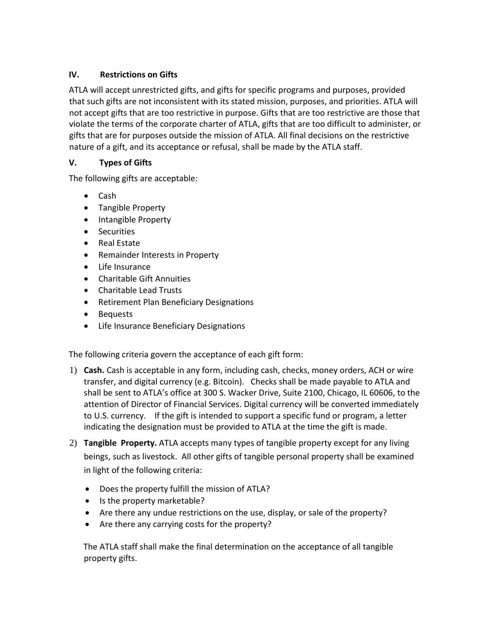# **IV. Restrictions on Gifts**

ATLA will accept unrestricted gifts, and gifts for specific programs and purposes, provided that such gifts are not inconsistent with its stated mission, purposes, and priorities. ATLA will not accept gifts that are too restrictive in purpose. Gifts that are too restrictive are those that violate the terms of the corporate charter of ATLA, gifts that are too difficult to administer, or gifts that are for purposes outside the mission of ATLA. All final decisions on the restrictive nature of a gift, and its acceptance or refusal, shall be made by the ATLA staff.

# **V. Types of Gifts**

The following gifts are acceptable:

- Cash
- Tangible Property
- Intangible Property
- Securities
- Real Estate
- Remainder Interests in Property
- Life Insurance
- Charitable Gift Annuities
- Charitable Lead Trusts
- Retirement Plan Beneficiary Designations
- Bequests
- Life Insurance Beneficiary Designations

The following criteria govern the acceptance of each gift form:

- 1) **Cash.** Cash is acceptable in any form, including cash, checks, money orders, ACH or wire transfer, and digital currency (e.g. Bitcoin). Checks shall be made payable to ATLA and shall be sent to ATLA's office at 300 S. Wacker Drive, Suite 2100, Chicago, IL 60606, to the attention of Director of Financial Services. Digital currency will be converted immediately to U.S. currency. If the gift is intended to support a specific fund or program, a letter indicating the designation must be provided to ATLA at the time the gift is made.
- 2) **Tangible Property.** ATLA accepts many types of tangible property except for any living beings, such as livestock. All other gifts of tangible personal property shall be examined in light of the following criteria:
	- Does the property fulfill the mission of ATLA?
	- Is the property marketable?
	- Are there any undue restrictions on the use, display, or sale of the property?
	- Are there any carrying costs for the property?

The ATLA staff shall make the final determination on the acceptance of all tangible property gifts.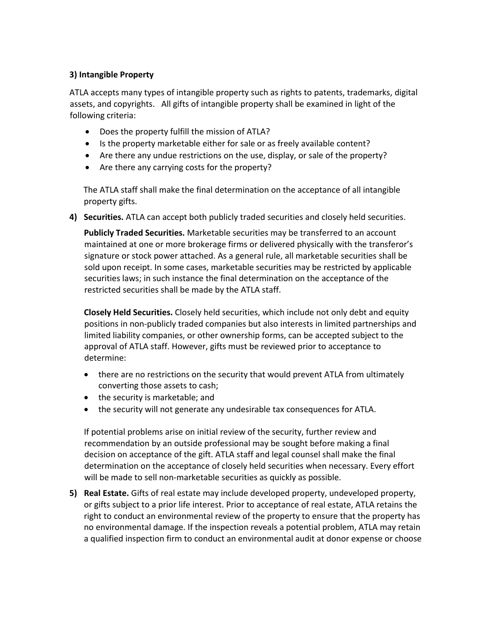## **3) Intangible Property**

ATLA accepts many types of intangible property such as rights to patents, trademarks, digital assets, and copyrights. All gifts of intangible property shall be examined in light of the following criteria:

- Does the property fulfill the mission of ATLA?
- Is the property marketable either for sale or as freely available content?
- Are there any undue restrictions on the use, display, or sale of the property?
- Are there any carrying costs for the property?

The ATLA staff shall make the final determination on the acceptance of all intangible property gifts.

**4) Securities.** ATLA can accept both publicly traded securities and closely held securities.

**Publicly Traded Securities.** Marketable securities may be transferred to an account maintained at one or more brokerage firms or delivered physically with the transferor's signature or stock power attached. As a general rule, all marketable securities shall be sold upon receipt. In some cases, marketable securities may be restricted by applicable securities laws; in such instance the final determination on the acceptance of the restricted securities shall be made by the ATLA staff.

**Closely Held Securities.** Closely held securities, which include not only debt and equity positions in non-publicly traded companies but also interests in limited partnerships and limited liability companies, or other ownership forms, can be accepted subject to the approval of ATLA staff. However, gifts must be reviewed prior to acceptance to determine:

- there are no restrictions on the security that would prevent ATLA from ultimately converting those assets to cash;
- the security is marketable; and
- the security will not generate any undesirable tax consequences for ATLA.

If potential problems arise on initial review of the security, further review and recommendation by an outside professional may be sought before making a final decision on acceptance of the gift. ATLA staff and legal counsel shall make the final determination on the acceptance of closely held securities when necessary. Every effort will be made to sell non-marketable securities as quickly as possible.

**5) Real Estate.** Gifts of real estate may include developed property, undeveloped property, or gifts subject to a prior life interest. Prior to acceptance of real estate, ATLA retains the right to conduct an environmental review of the property to ensure that the property has no environmental damage. If the inspection reveals a potential problem, ATLA may retain a qualified inspection firm to conduct an environmental audit at donor expense or choose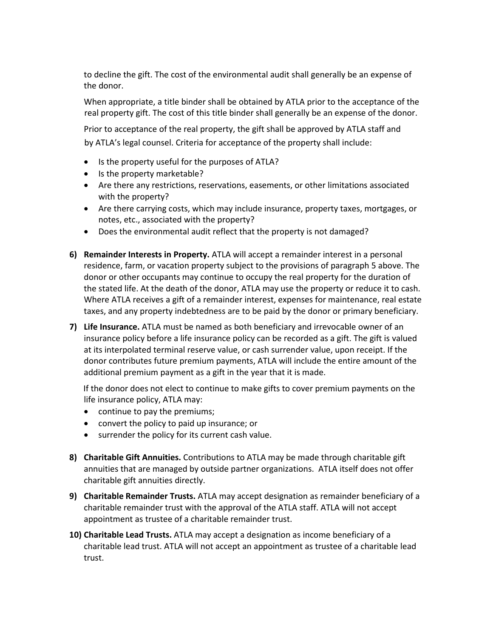to decline the gift. The cost of the environmental audit shall generally be an expense of the donor.

When appropriate, a title binder shall be obtained by ATLA prior to the acceptance of the real property gift. The cost of this title binder shall generally be an expense of the donor.

Prior to acceptance of the real property, the gift shall be approved by ATLA staff and by ATLA's legal counsel. Criteria for acceptance of the property shall include:

- Is the property useful for the purposes of ATLA?
- Is the property marketable?
- Are there any restrictions, reservations, easements, or other limitations associated with the property?
- Are there carrying costs, which may include insurance, property taxes, mortgages, or notes, etc., associated with the property?
- Does the environmental audit reflect that the property is not damaged?
- **6) Remainder Interests in Property.** ATLA will accept a remainder interest in a personal residence, farm, or vacation property subject to the provisions of paragraph 5 above. The donor or other occupants may continue to occupy the real property for the duration of the stated life. At the death of the donor, ATLA may use the property or reduce it to cash. Where ATLA receives a gift of a remainder interest, expenses for maintenance, real estate taxes, and any property indebtedness are to be paid by the donor or primary beneficiary.
- **7) Life Insurance.** ATLA must be named as both beneficiary and irrevocable owner of an insurance policy before a life insurance policy can be recorded as a gift. The gift is valued at its interpolated terminal reserve value, or cash surrender value, upon receipt. If the donor contributes future premium payments, ATLA will include the entire amount of the additional premium payment as a gift in the year that it is made.

If the donor does not elect to continue to make gifts to cover premium payments on the life insurance policy, ATLA may:

- continue to pay the premiums;
- convert the policy to paid up insurance; or
- surrender the policy for its current cash value.
- **8) Charitable Gift Annuities.** Contributions to ATLA may be made through charitable gift annuities that are managed by outside partner organizations. ATLA itself does not offer charitable gift annuities directly.
- **9) Charitable Remainder Trusts.** ATLA may accept designation as remainder beneficiary of a charitable remainder trust with the approval of the ATLA staff. ATLA will not accept appointment as trustee of a charitable remainder trust.
- **10) Charitable Lead Trusts.** ATLA may accept a designation as income beneficiary of a charitable lead trust. ATLA will not accept an appointment as trustee of a charitable lead trust.